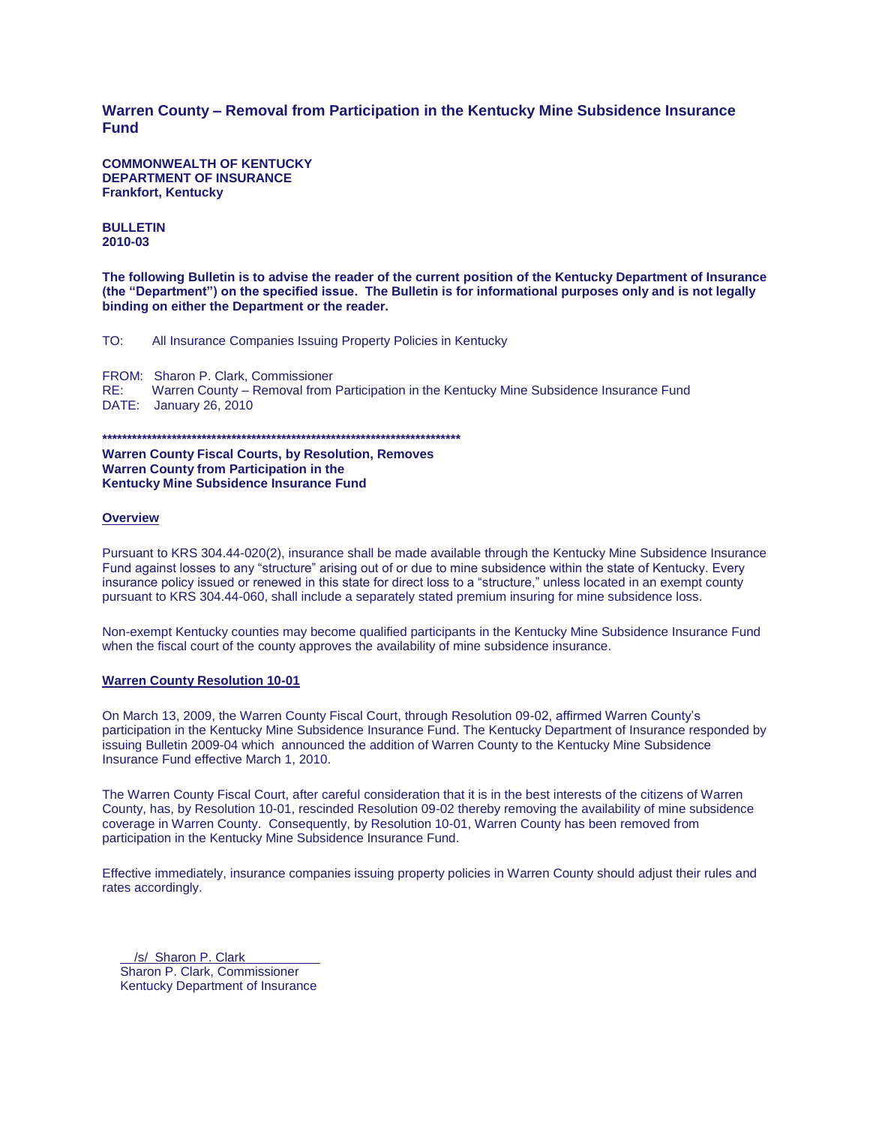## **Warren County – Removal from Participation in the Kentucky Mine Subsidence Insurance Fund**

**COMMONWEALTH OF KENTUCKY DEPARTMENT OF INSURANCE Frankfort, Kentucky**

## **BULLETIN 2010-03**

**The following Bulletin is to advise the reader of the current position of the Kentucky Department of Insurance (the "Department") on the specified issue. The Bulletin is for informational purposes only and is not legally binding on either the Department or the reader.**

TO: All Insurance Companies Issuing Property Policies in Kentucky

FROM: Sharon P. Clark, Commissioner RE: Warren County – Removal from Participation in the Kentucky Mine Subsidence Insurance Fund DATE: January 26, 2010

**\*\*\*\*\*\*\*\*\*\*\*\*\*\*\*\*\*\*\*\*\*\*\*\*\*\*\*\*\*\*\*\*\*\*\*\*\*\*\*\*\*\*\*\*\*\*\*\*\*\*\*\*\*\*\*\*\*\*\*\*\*\*\*\*\*\*\*\*\*\*\*\***

**Warren County Fiscal Courts, by Resolution, Removes Warren County from Participation in the Kentucky Mine Subsidence Insurance Fund**

## **Overview**

Pursuant to KRS 304.44-020(2), insurance shall be made available through the Kentucky Mine Subsidence Insurance Fund against losses to any "structure" arising out of or due to mine subsidence within the state of Kentucky. Every insurance policy issued or renewed in this state for direct loss to a "structure," unless located in an exempt county pursuant to KRS 304.44-060, shall include a separately stated premium insuring for mine subsidence loss.

Non-exempt Kentucky counties may become qualified participants in the Kentucky Mine Subsidence Insurance Fund when the fiscal court of the county approves the availability of mine subsidence insurance.

## **Warren County Resolution 10-01**

On March 13, 2009, the Warren County Fiscal Court, through Resolution 09-02, affirmed Warren County's participation in the Kentucky Mine Subsidence Insurance Fund. The Kentucky Department of Insurance responded by issuing Bulletin 2009-04 which announced the addition of Warren County to the Kentucky Mine Subsidence Insurance Fund effective March 1, 2010.

The Warren County Fiscal Court, after careful consideration that it is in the best interests of the citizens of Warren County, has, by Resolution 10-01, rescinded Resolution 09-02 thereby removing the availability of mine subsidence coverage in Warren County. Consequently, by Resolution 10-01, Warren County has been removed from participation in the Kentucky Mine Subsidence Insurance Fund.

Effective immediately, insurance companies issuing property policies in Warren County should adjust their rules and rates accordingly.

 /s/ Sharon P. Clark Sharon P. Clark, Commissioner Kentucky Department of Insurance